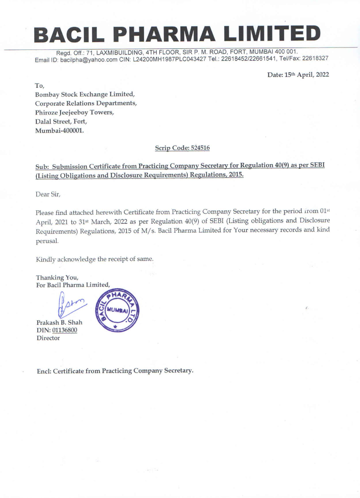# BACIL PHARMA LIMITED

Regd. Off.: 71, LAXMIBUILDING, 4TH FLOOR, SIR P. M. ROAD, FORT, MUMBAI 400 001. Email ID: bacilpha@yahoo.com CIN: L24200MH1987PLC043427 Tel.: 22618452/22661541, Tel/Fax: 22618327

Date: 15th April, 2022

To,

Bombay Stock Exchange Limited, Corporate Relations Departments, Phiroze Jeejeeboy Towers, Dalal Street, Fort, Mumbai-400001.

## Scrip Code: 524516

Please find attached herewith Certificate from Practicing Company Secretary for the period irom 01st April, 2021 to 31<sup>st</sup> March, 2022 as per Regulation 40(9) of SEBI (Listing obligations and Disclosure Requirements) Regulations, 2015 of M/s. Bacil Pharma Limited for Your necessary records and kind perusal.

Thanking You, For Bacil Pharma Limited,

Prakash B. Shah DIN: 01136800 **Director** 



Sub: Submission Certificate from Practicing Company Secretary for Regulation 40(9) as per SEBI (Listing Obligations and Disclosure Requirements) Regulations, 2015.

Dear Sir,

Kindly acknowledge the receipt of same.



Encl: Certificate from Practicing Company Secretary.